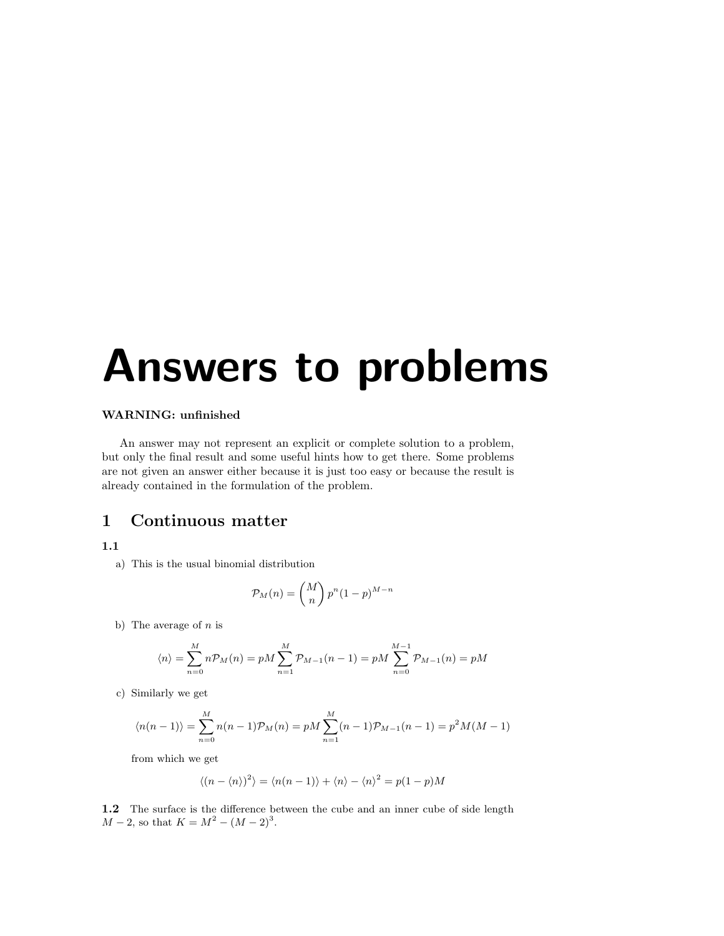# Answers to problems

### WARNING: unfinished

An answer may not represent an explicit or complete solution to a problem, but only the final result and some useful hints how to get there. Some problems are not given an answer either because it is just too easy or because the result is already contained in the formulation of the problem.

# 1 Continuous matter

## 1.1

a) This is the usual binomial distribution

$$
\mathcal{P}_M(n) = \binom{M}{n} p^n (1-p)^{M-n}
$$

b) The average of  $n$  is

$$
\langle n \rangle = \sum_{n=0}^{M} n \mathcal{P}_M(n) = pM \sum_{n=1}^{M} \mathcal{P}_{M-1}(n-1) = pM \sum_{n=0}^{M-1} \mathcal{P}_{M-1}(n) = pM
$$

c) Similarly we get

$$
\langle n(n-1) \rangle = \sum_{n=0}^{M} n(n-1) \mathcal{P}_M(n) = pM \sum_{n=1}^{M} (n-1) \mathcal{P}_{M-1}(n-1) = p^2 M(M-1)
$$

from which we get

$$
\langle (n - \langle n \rangle)^2 \rangle = \langle n(n-1) \rangle + \langle n \rangle - \langle n \rangle^2 = p(1-p)M
$$

1.2 The surface is the difference between the cube and an inner cube of side length  $M-2$ , so that  $K = M^2 - (M-2)^3$ .